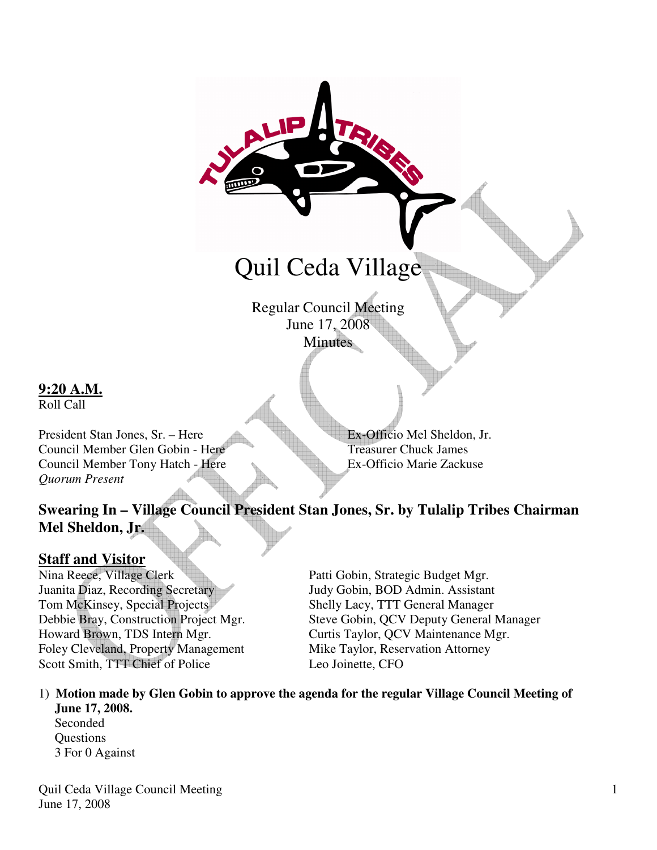# Quil Ceda Village

Regular Council Meeting June 17, 2008 **Minutes** 

**9:20 A.M.**

Roll Call

President Stan Jones, Sr. – Here Ex-Officio Mel Sheldon, Jr. Council Member Glen Gobin - Here Treasurer Chuck James Council Member Tony Hatch - Here Ex-Officio Marie Zackuse *Quorum Present* 

# **Swearing In – Village Council President Stan Jones, Sr. by Tulalip Tribes Chairman Mel Sheldon, Jr.**

**Staff and Visitor<br>Nina Reece, Village Clerk** Nina Reece, Village Clerk Patti Gobin, Strategic Budget Mgr.<br>
Juanita Diaz, Recording Secretary Judy Gobin, BOD Admin. Assistan Tom McKinsey, Special Projects Shelly Lacy, TTT General Manager Howard Brown, TDS Intern Mgr. Curtis Taylor, QCV Maintenance Mgr. Foley Cleveland, Property Management Mike Taylor, Reservation Attorney Scott Smith, TTT Chief of Police Leo Joinette, CFO

Judy Gobin, BOD Admin. Assistant Debbie Bray, Construction Project Mgr. Steve Gobin, QCV Deputy General Manager

#### 1) **Motion made by Glen Gobin to approve the agenda for the regular Village Council Meeting of June 17, 2008.**

 Seconded **Questions** 3 For 0 Against

Quil Ceda Village Council Meeting June 17, 2008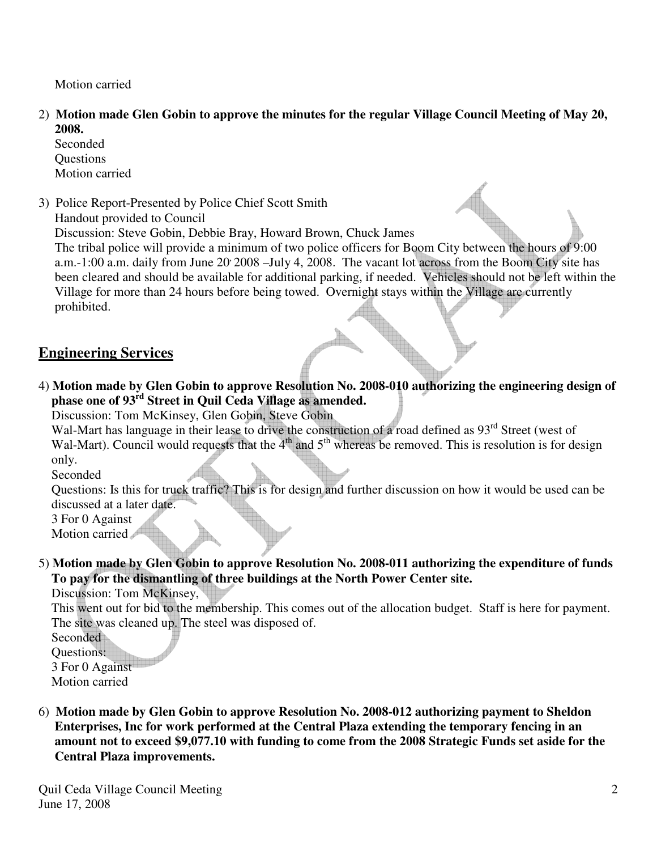Motion carried

- 2) **Motion made Glen Gobin to approve the minutes for the regular Village Council Meeting of May 20, 2008.** 
	- Seconded Questions Motion carried
- 3) Police Report-Presented by Police Chief Scott Smith Handout provided to Council Discussion: Steve Gobin, Debbie Bray, Howard Brown, Chuck James

 The tribal police will provide a minimum of two police officers for Boom City between the hours of 9:00 a.m.-1:00 a.m. daily from June 20 2008 –July 4, 2008. The vacant lot across from the Boom City site has been cleared and should be available for additional parking, if needed. Vehicles should not be left within the Village for more than 24 hours before being towed. Overnight stays within the Village are currently prohibited.

#### **Engineering Services**

4) **Motion made by Glen Gobin to approve Resolution No. 2008-010 authorizing the engineering design of phase one of 93rd Street in Quil Ceda Village as amended.** 

Discussion: Tom McKinsey, Glen Gobin, Steve Gobin

Wal-Mart has language in their lease to drive the construction of a road defined as 93<sup>rd</sup> Street (west of Wal-Mart). Council would requests that the  $4<sup>th</sup>$  and  $5<sup>th</sup>$  whereas be removed. This is resolution is for design only.

Seconded

 Questions: Is this for truck traffic? This is for design and further discussion on how it would be used can be discussed at a later date.

3 For 0 Against

Motion carried

5) **Motion made by Glen Gobin to approve Resolution No. 2008-011 authorizing the expenditure of funds To pay for the dismantling of three buildings at the North Power Center site.** 

Discussion: Tom McKinsey,

 This went out for bid to the membership. This comes out of the allocation budget. Staff is here for payment. The site was cleaned up. The steel was disposed of.

**Seconded** 

 Questions: 3 For 0 Against Motion carried

6) **Motion made by Glen Gobin to approve Resolution No. 2008-012 authorizing payment to Sheldon Enterprises, Inc for work performed at the Central Plaza extending the temporary fencing in an amount not to exceed \$9,077.10 with funding to come from the 2008 Strategic Funds set aside for the Central Plaza improvements.**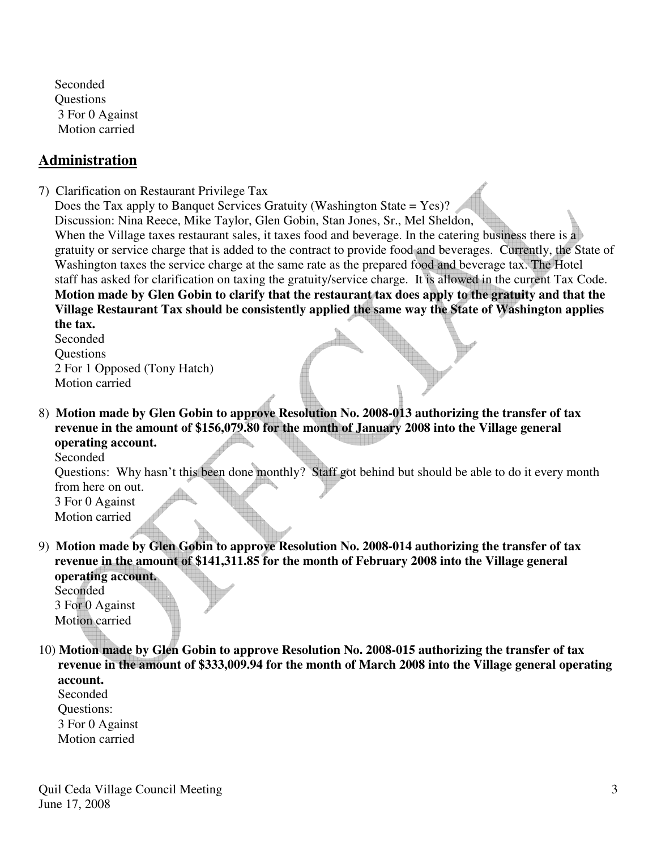Seconded **Ouestions**  3 For 0 Against Motion carried

#### **Administration**

- 7) Clarification on Restaurant Privilege Tax
	- Does the Tax apply to Banquet Services Gratuity (Washington State = Yes)? Discussion: Nina Reece, Mike Taylor, Glen Gobin, Stan Jones, Sr., Mel Sheldon, When the Village taxes restaurant sales, it taxes food and beverage. In the catering business there is a gratuity or service charge that is added to the contract to provide food and beverages. Currently, the State of Washington taxes the service charge at the same rate as the prepared food and beverage tax. The Hotel staff has asked for clarification on taxing the gratuity/service charge. It is allowed in the current Tax Code. **Motion made by Glen Gobin to clarify that the restaurant tax does apply to the gratuity and that the Village Restaurant Tax should be consistently applied the same way the State of Washington applies the tax.**

 Seconded **Ouestions**  2 For 1 Opposed (Tony Hatch) Motion carried

8) **Motion made by Glen Gobin to approve Resolution No. 2008-013 authorizing the transfer of tax revenue in the amount of \$156,079.80 for the month of January 2008 into the Village general operating account.** Seconded

 Questions: Why hasn't this been done monthly? Staff got behind but should be able to do it every month from here on out.

 3 For 0 Against Motion carried

9) **Motion made by Glen Gobin to approve Resolution No. 2008-014 authorizing the transfer of tax revenue in the amount of \$141,311.85 for the month of February 2008 into the Village general operating account.** 

 Seconded 3 For 0 Against Motion carried

10) **Motion made by Glen Gobin to approve Resolution No. 2008-015 authorizing the transfer of tax revenue in the amount of \$333,009.94 for the month of March 2008 into the Village general operating account.** 

Seconded Questions: 3 For 0 Against Motion carried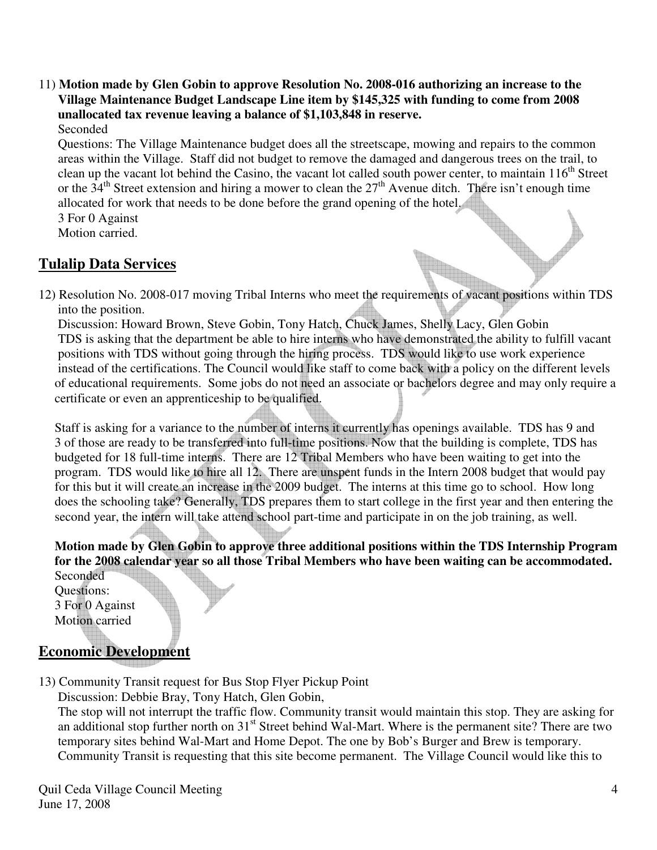11) **Motion made by Glen Gobin to approve Resolution No. 2008-016 authorizing an increase to the Village Maintenance Budget Landscape Line item by \$145,325 with funding to come from 2008 unallocated tax revenue leaving a balance of \$1,103,848 in reserve.** Seconded

 Questions: The Village Maintenance budget does all the streetscape, mowing and repairs to the common areas within the Village. Staff did not budget to remove the damaged and dangerous trees on the trail, to clean up the vacant lot behind the Casino, the vacant lot called south power center, to maintain  $116<sup>th</sup>$  Street or the  $34<sup>th</sup>$  Street extension and hiring a mower to clean the  $27<sup>th</sup>$  Avenue ditch. There isn't enough time allocated for work that needs to be done before the grand opening of the hotel.

 3 For 0 Against Motion carried.

## **Tulalip Data Services**

12) Resolution No. 2008-017 moving Tribal Interns who meet the requirements of vacant positions within TDS into the position.

 Discussion: Howard Brown, Steve Gobin, Tony Hatch, Chuck James, Shelly Lacy, Glen Gobin TDS is asking that the department be able to hire interns who have demonstrated the ability to fulfill vacant positions with TDS without going through the hiring process. TDS would like to use work experience instead of the certifications. The Council would like staff to come back with a policy on the different levels of educational requirements. Some jobs do not need an associate or bachelors degree and may only require a certificate or even an apprenticeship to be qualified.

 Staff is asking for a variance to the number of interns it currently has openings available. TDS has 9 and 3 of those are ready to be transferred into full-time positions. Now that the building is complete, TDS has budgeted for 18 full-time interns. There are 12 Tribal Members who have been waiting to get into the program. TDS would like to hire all 12. There are unspent funds in the Intern 2008 budget that would pay for this but it will create an increase in the 2009 budget. The interns at this time go to school. How long does the schooling take? Generally, TDS prepares them to start college in the first year and then entering the second year, the intern will take attend school part-time and participate in on the job training, as well.

 **Motion made by Glen Gobin to approve three additional positions within the TDS Internship Program for the 2008 calendar year so all those Tribal Members who have been waiting can be accommodated.**

Seconded Questions: 3 For 0 Against Motion carried

### **Economic Development**

13) Community Transit request for Bus Stop Flyer Pickup Point

Discussion: Debbie Bray, Tony Hatch, Glen Gobin,

 The stop will not interrupt the traffic flow. Community transit would maintain this stop. They are asking for an additional stop further north on 31<sup>st</sup> Street behind Wal-Mart. Where is the permanent site? There are two temporary sites behind Wal-Mart and Home Depot. The one by Bob's Burger and Brew is temporary. Community Transit is requesting that this site become permanent. The Village Council would like this to